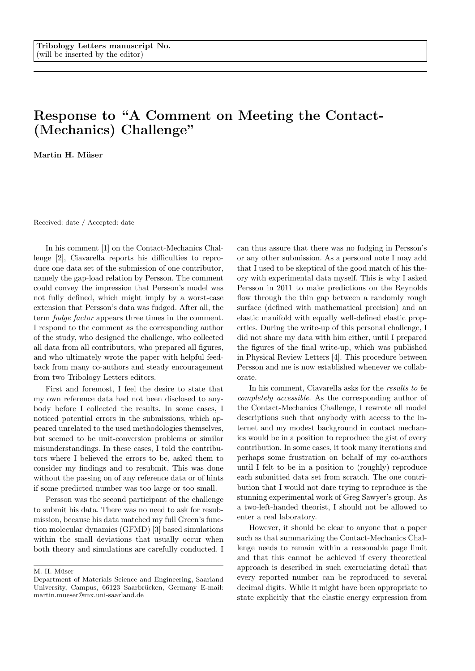## Response to "A Comment on Meeting the Contact- (Mechanics) Challenge"

Martin H. Müser

Received: date / Accepted: date

In his comment [1] on the Contact-Mechanics Challenge [2], Ciavarella reports his difficulties to reproduce one data set of the submission of one contributor, namely the gap-load relation by Persson. The comment could convey the impression that Persson's model was not fully defined, which might imply by a worst-case extension that Persson's data was fudged. After all, the term fudge factor appears three times in the comment. I respond to the comment as the corresponding author of the study, who designed the challenge, who collected all data from all contributors, who prepared all figures, and who ultimately wrote the paper with helpful feedback from many co-authors and steady encouragement from two Tribology Letters editors.

First and foremost, I feel the desire to state that my own reference data had not been disclosed to anybody before I collected the results. In some cases, I noticed potential errors in the submissions, which appeared unrelated to the used methodologies themselves, but seemed to be unit-conversion problems or similar misunderstandings. In these cases, I told the contributors where I believed the errors to be, asked them to consider my findings and to resubmit. This was done without the passing on of any reference data or of hints if some predicted number was too large or too small.

Persson was the second participant of the challenge to submit his data. There was no need to ask for resubmission, because his data matched my full Green's function molecular dynamics (GFMD) [3] based simulations within the small deviations that usually occur when both theory and simulations are carefully conducted. I can thus assure that there was no fudging in Persson's or any other submission. As a personal note I may add that I used to be skeptical of the good match of his theory with experimental data myself. This is why I asked Persson in 2011 to make predictions on the Reynolds flow through the thin gap between a randomly rough surface (defined with mathematical precision) and an elastic manifold with equally well-defined elastic properties. During the write-up of this personal challenge, I did not share my data with him either, until I prepared the figures of the final write-up, which was published in Physical Review Letters [4]. This procedure between Persson and me is now established whenever we collaborate.

In his comment, Ciavarella asks for the results to be completely accessible. As the corresponding author of the Contact-Mechanics Challenge, I rewrote all model descriptions such that anybody with access to the internet and my modest background in contact mechanics would be in a position to reproduce the gist of every contribution. In some cases, it took many iterations and perhaps some frustration on behalf of my co-authors until I felt to be in a position to (roughly) reproduce each submitted data set from scratch. The one contribution that I would not dare trying to reproduce is the stunning experimental work of Greg Sawyer's group. As a two-left-handed theorist, I should not be allowed to enter a real laboratory.

However, it should be clear to anyone that a paper such as that summarizing the Contact-Mechanics Challenge needs to remain within a reasonable page limit and that this cannot be achieved if every theoretical approach is described in such excruciating detail that every reported number can be reproduced to several decimal digits. While it might have been appropriate to state explicitly that the elastic energy expression from

M. H. Müser

Department of Materials Science and Engineering, Saarland University, Campus, 66123 Saarbrücken, Germany E-mail: martin.mueser@mx.uni-saarland.de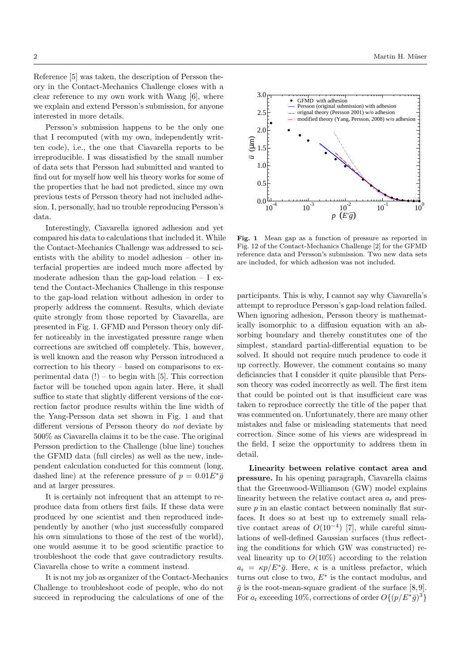Reference [5] was taken, the description of Persson theory in the Contact-Mechanics Challenge closes with a clear reference to my own work with Wang [6], where we explain and extend Persson's submission, for anyone interested in more details.

Persson's submission happens to be the only one that I recomputed (with my own, independently written code), i.e., the one that Ciavarella reports to be irreproducible. I was dissatisfied by the small number of data sets that Persson had submitted and wanted to find out for myself how well his theory works for some of the properties that he had not predicted, since my own previous tests of Persson theory had not included adhesion. I, personally, had no trouble reproducing Persson's data.

Interestingly, Ciavarella ignored adhesion and yet compared his data to calculations that included it. While the Contact-Mechanics Challenge was addressed to scientists with the ability to model adhesion – other interfacial properties are indeed much more affected by moderate adhesion than the gap-load relation  $- I$  extend the Contact-Mechanics Challenge in this response to the gap-load relation without adhesion in order to properly address the comment. Results, which deviate quite strongly from those reported by Ciavarella, are presented in Fig. 1. GFMD and Persson theory only differ noticeably in the investigated pressure range when corrections are switched off completely. This, however, is well known and the reason why Persson introduced a correction to his theory – based on comparisons to experimental data  $(!)$  – to begin with [5]. This correction factor will be touched upon again later. Here, it shall suffice to state that slightly different versions of the correction factor produce results within the line width of the Yang-Persson data set shown in Fig. 1 and that different versions of Persson theory do not deviate by 500% as Ciavarella claims it to be the case. The original Persson prediction to the Challenge (blue line) touches the GFMD data (full circles) as well as the new, independent calculation conducted for this comment (long, dashed line) at the reference pressure of  $p = 0.01E^* \bar{g}$ and at larger pressures.

It is certainly not infrequent that an attempt to reproduce data from others first fails. If these data were produced by one scientist and then reproduced independently by another (who just successfully compared his own simulations to those of the rest of the world), one would assume it to be good scientific practice to troubleshoot the code that gave contradictory results. Ciavarella chose to write a comment instead.

It is not my job as organizer of the Contact-Mechanics Challenge to troubleshoot code of people, who do not succeed in reproducing the calculations of one of the



Fig. 1 Mean gap as a function of pressure as reported in Fig. 12 of the Contact-Mechanics Challenge [2] for the GFMD reference data and Persson's submission. Two new data sets are included, for which adhesion was not included.

participants. This is why, I cannot say why Ciavarella's attempt to reproduce Persson's gap-load relation failed. When ignoring adhesion, Persson theory is mathematically isomorphic to a diffusion equation with an absorbing boundary and thereby constitutes one of the simplest, standard partial-differential equation to be solved. It should not require much prudence to code it up correctly. However, the comment contains so many deficiancies that I consider it quite plausible that Persson theory was coded incorrectly as well. The first item that could be pointed out is that insufficient care was taken to reproduce correctly the title of the paper that was commented on. Unfortunately, there are many other mistakes and false or misleading statements that need correction. Since some of his views are widespread in the field, I seize the opportunity to address them in detail.

Linearity between relative contact area and pressure. In his opening paragraph, Ciavarella claims that the Greenwood-Williamson (GW) model explains linearity between the relative contact area  $a_r$  and pressure  $p$  in an elastic contact between nominally flat surfaces. It does so at best up to extremely small relative contact areas of  $O(10^{-4})$  [7], while careful simulations of well-defined Gaussian surfaces (thus reflecting the conditions for which GW was constructed) reveal linearity up to  $O(10\%)$  according to the relation  $a_r = \kappa p/E^*\bar{g}$ . Here,  $\kappa$  is a unitless prefactor, which turns out close to two,  $E^*$  is the contact modulus, and  $\bar{g}$  is the root-mean-square gradient of the surface [8,9]. For  $a_r$  exceeding 10%, corrections of order  $O\{(p/E^*\bar{g})^3\}$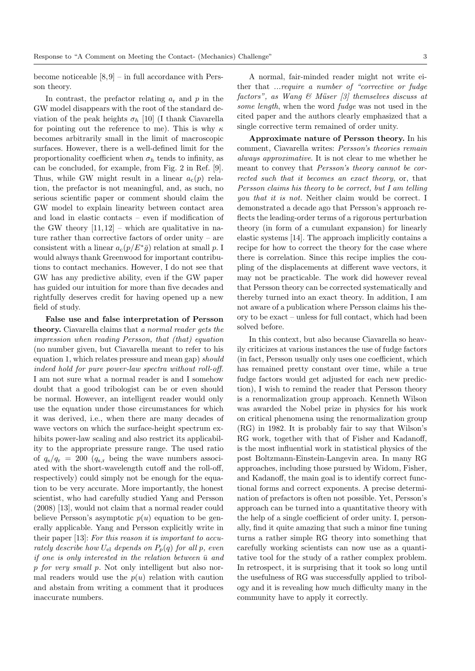become noticeable  $[8, 9]$  – in full accordance with Persson theory.

In contrast, the prefactor relating  $a_r$  and p in the GW model disappears with the root of the standard deviation of the peak heights  $\sigma_h$  [10] (I thank Ciavarella for pointing out the reference to me). This is why  $\kappa$ becomes arbitrarily small in the limit of macroscopic surfaces. However, there is a well-defined limit for the proportionality coefficient when  $\sigma_h$  tends to infinity, as can be concluded, for example, from Fig. 2 in Ref. [9]. Thus, while GW might result in a linear  $a_c(p)$  relation, the prefactor is not meaningful, and, as such, no serious scientific paper or comment should claim the GW model to explain linearity between contact area and load in elastic contacts – even if modification of the GW theory  $[11, 12]$  – which are qualitative in nature rather than corrective factors of order unity – are consistent with a linear  $a_c(p/E^*\bar{g})$  relation at small p. I would always thank Greenwood for important contributions to contact mechanics. However, I do not see that GW has any predictive ability, even if the GW paper has guided our intuition for more than five decades and rightfully deserves credit for having opened up a new field of study.

False use and false interpretation of Persson theory. Ciavarella claims that a normal reader gets the impression when reading Persson, that (that) equation (no number given, but Ciavarella meant to refer to his equation 1, which relates pressure and mean gap) should indeed hold for pure power-law spectra without roll-off. I am not sure what a normal reader is and I somehow doubt that a good tribologist can be or even should be normal. However, an intelligent reader would only use the equation under those circumstances for which it was derived, i.e., when there are many decades of wave vectors on which the surface-height spectrum exhibits power-law scaling and also restrict its applicability to the appropriate pressure range. The used ratio of  $q_s/q_r = 200$   $(q_{s,r}$  being the wave numbers associated with the short-wavelength cutoff and the roll-off, respectively) could simply not be enough for the equation to be very accurate. More importantly, the honest scientist, who had carefully studied Yang and Persson (2008) [13], would not claim that a normal reader could believe Persson's asymptotic  $p(u)$  equation to be generally applicable. Yang and Persson explicitly write in their paper [13]: For this reason it is important to accurately describe how  $U_{el}$  depends on  $P_p(q)$  for all p, even if one is only interested in the relation between  $\bar{u}$  and p for very small p. Not only intelligent but also normal readers would use the  $p(u)$  relation with caution and abstain from writing a comment that it produces inaccurate numbers.

A normal, fair-minded reader might not write either that ...require a number of "corrective or fudge factors", as Wang  $\mathcal C$  Müser  $\lbrack 3\rbrack$  themselves discuss at some length, when the word *fudge* was not used in the cited paper and the authors clearly emphasized that a single corrective term remained of order unity.

Approximate nature of Persson theory. In his comment, Ciavarella writes: Persson's theories remain always approximative. It is not clear to me whether he meant to convey that Persson's theory cannot be corrected such that it becomes an exact theory, or, that Persson claims his theory to be correct, but I am telling you that it is not. Neither claim would be correct. I demonstrated a decade ago that Persson's approach reflects the leading-order terms of a rigorous perturbation theory (in form of a cumulant expansion) for linearly elastic systems [14]. The approach implicitly contains a recipe for how to correct the theory for the case where there is correlation. Since this recipe implies the coupling of the displacements at different wave vectors, it may not be practicable. The work did however reveal that Persson theory can be corrected systematically and thereby turned into an exact theory. In addition, I am not aware of a publication where Persson claims his theory to be exact – unless for full contact, which had been solved before.

In this context, but also because Ciavarella so heavily criticizes at various instances the use of fudge factors (in fact, Persson usually only uses one coefficient, which has remained pretty constant over time, while a true fudge factors would get adjusted for each new prediction), I wish to remind the reader that Persson theory is a renormalization group approach. Kenneth Wilson was awarded the Nobel prize in physics for his work on critical phenomena using the renormalization group (RG) in 1982. It is probably fair to say that Wilson's RG work, together with that of Fisher and Kadanoff, is the most influential work in statistical physics of the post Boltzmann-Einstein-Langevin area. In many RG approaches, including those pursued by Widom, Fisher, and Kadanoff, the main goal is to identify correct functional forms and correct exponents. A precise determination of prefactors is often not possible. Yet, Persson's approach can be turned into a quantitative theory with the help of a single coefficient of order unity. I, personally, find it quite amazing that such a minor fine tuning turns a rather simple RG theory into something that carefully working scientists can now use as a quantitative tool for the study of a rather complex problem. In retrospect, it is surprising that it took so long until the usefulness of RG was successfully applied to tribology and it is revealing how much difficulty many in the community have to apply it correctly.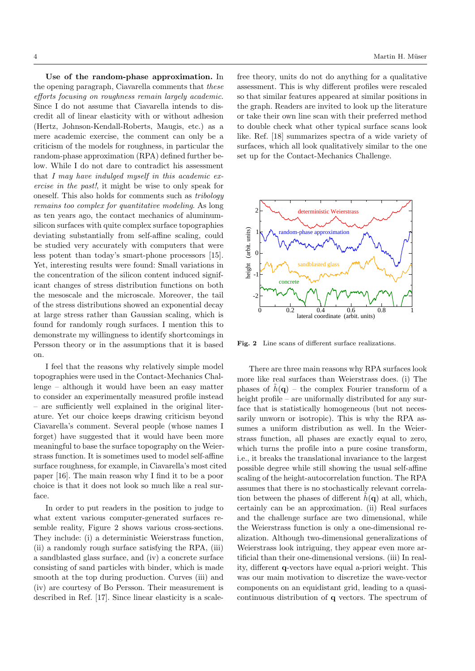Use of the random-phase approximation. In the opening paragraph, Ciavarella comments that these efforts focusing on roughness remain largely academic. Since I do not assume that Ciavarella intends to discredit all of linear elasticity with or without adhesion (Hertz, Johnson-Kendall-Roberts, Maugis, etc.) as a mere academic exercise, the comment can only be a criticism of the models for roughness, in particular the random-phase approximation (RPA) defined further below. While I do not dare to contradict his assessment that I may have indulged myself in this academic exercise in the past!, it might be wise to only speak for oneself. This also holds for comments such as tribology remains too complex for quantitative modeling. As long as ten years ago, the contact mechanics of aluminumsilicon surfaces with quite complex surface topographies deviating substantially from self-affine scaling, could be studied very accurately with computers that were less potent than today's smart-phone processors [15]. Yet, interesting results were found: Small variations in the concentration of the silicon content induced significant changes of stress distribution functions on both the mesoscale and the microscale. Moreover, the tail of the stress distributions showed an exponential decay at large stress rather than Gaussian scaling, which is found for randomly rough surfaces. I mention this to demonstrate my willingness to identify shortcomings in Persson theory or in the assumptions that it is based on.

I feel that the reasons why relatively simple model topographies were used in the Contact-Mechanics Challenge – although it would have been an easy matter to consider an experimentally measured profile instead – are sufficiently well explained in the original literature. Yet our choice keeps drawing criticism beyond Ciavarella's comment. Several people (whose names I forget) have suggested that it would have been more meaningful to base the surface topography on the Weierstrass function. It is sometimes used to model self-affine surface roughness, for example, in Ciavarella's most cited paper [16]. The main reason why I find it to be a poor choice is that it does not look so much like a real surface.

In order to put readers in the position to judge to what extent various computer-generated surfaces resemble reality, Figure 2 shows various cross-sections. They include: (i) a deterministic Weierstrass function, (ii) a randomly rough surface satisfying the RPA, (iii) a sandblasted glass surface, and (iv) a concrete surface consisting of sand particles with binder, which is made smooth at the top during production. Curves (iii) and (iv) are courtesy of Bo Persson. Their measurement is described in Ref. [17]. Since linear elasticity is a scale-

free theory, units do not do anything for a qualitative assessment. This is why different profiles were rescaled so that similar features appeared at similar positions in the graph. Readers are invited to look up the literature or take their own line scan with their preferred method to double check what other typical surface scans look like. Ref. [18] summarizes spectra of a wide variety of surfaces, which all look qualitatively similar to the one set up for the Contact-Mechanics Challenge.



Fig. 2 Line scans of different surface realizations.

There are three main reasons why RPA surfaces look more like real surfaces than Weierstrass does. (i) The phases of  $\tilde{h}(\mathbf{q})$  – the complex Fourier transform of a height profile – are uniformally distributed for any surface that is statistically homogeneous (but not necessarily unworn or isotropic). This is why the RPA assumes a uniform distribution as well. In the Weierstrass function, all phases are exactly equal to zero, which turns the profile into a pure cosine transform, i.e., it breaks the translational invariance to the largest possible degree while still showing the usual self-affine scaling of the height-autocorrelation function. The RPA assumes that there is no stochastically relevant correlation between the phases of different  $h(\mathbf{q})$  at all, which, certainly can be an approximation. (ii) Real surfaces and the challenge surface are two dimensional, while the Weierstrass function is only a one-dimensional realization. Although two-dimensional generalizations of Weierstrass look intriguing, they appear even more artificial than their one-dimensional versions. (iii) In reality, different q-vectors have equal a-priori weight. This was our main motivation to discretize the wave-vector components on an equidistant grid, leading to a quasicontinuous distribution of q vectors. The spectrum of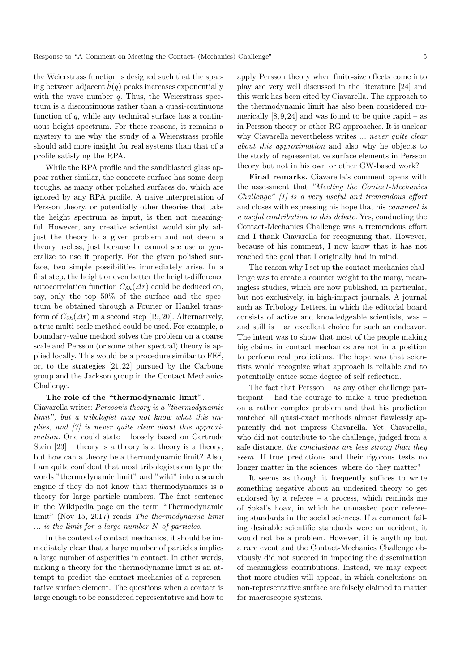the Weierstrass function is designed such that the spacing between adjacent  $h(q)$  peaks increases exponentially with the wave number  $q$ . Thus, the Weierstrass spectrum is a discontinuous rather than a quasi-continuous function of  $q$ , while any technical surface has a continuous height spectrum. For these reasons, it remains a mystery to me why the study of a Weierstrass profile should add more insight for real systems than that of a profile satisfying the RPA.

While the RPA profile and the sandblasted glass appear rather similar, the concrete surface has some deep troughs, as many other polished surfaces do, which are ignored by any RPA profile. A naive interpretation of Persson theory, or potentially other theories that take the height spectrum as input, is then not meaningful. However, any creative scientist would simply adjust the theory to a given problem and not deem a theory useless, just because he cannot see use or generalize to use it properly. For the given polished surface, two simple possibilities immediately arise. In a first step, the height or even better the height-difference autocorrelation function  $C_{\delta h}(\Delta r)$  could be deduced on, say, only the top 50% of the surface and the spectrum be obtained through a Fourier or Hankel transform of  $C_{\delta h}(\Delta r)$  in a second step [19, 20]. Alternatively, a true multi-scale method could be used. For example, a boundary-value method solves the problem on a coarse scale and Persson (or some other spectral) theory is applied locally. This would be a procedure similar to  $FE^2$ , or, to the strategies [21, 22] pursued by the Carbone group and the Jackson group in the Contact Mechanics Challenge.

## The role of the "thermodynamic limit".

Ciavarella writes: Persson's theory is a "thermodynamic limit", but a tribologist may not know what this implies, and  $[7]$  is never quite clear about this approximation. One could state – loosely based on Gertrude Stein  $[23]$  – theory is a theory is a theory, but how can a theory be a thermodynamic limit? Also, I am quite confident that most tribologists can type the words "thermodynamic limit" and "wiki" into a search engine if they do not know that thermodynamics is a theory for large particle numbers. The first sentence in the Wikipedia page on the term "Thermodynamic limit" (Nov 15, 2017) reads The thermodynamic limit  $\ldots$  is the limit for a large number N of particles.

In the context of contact mechanics, it should be immediately clear that a large number of particles implies a large number of asperities in contact. In other words, making a theory for the thermodynamic limit is an attempt to predict the contact mechanics of a representative surface element. The questions when a contact is large enough to be considered representative and how to apply Persson theory when finite-size effects come into play are very well discussed in the literature [24] and this work has been cited by Ciavarella. The approach to the thermodynamic limit has also been considered numerically  $[8, 9, 24]$  and was found to be quite rapid – as in Persson theory or other RG approaches. It is unclear why Ciavarella nevertheless writes ... never quite clear about this approximation and also why he objects to the study of representative surface elements in Persson theory but not in his own or other GW-based work?

Final remarks. Ciavarella's comment opens with the assessment that "Meeting the Contact-Mechanics Challenge" [1] is a very useful and tremendous effort and closes with expressing his hope that his comment is a useful contribution to this debate. Yes, conducting the Contact-Mechanics Challenge was a tremendous effort and I thank Ciavarella for recognizing that. However, because of his comment, I now know that it has not reached the goal that I originally had in mind.

The reason why I set up the contact-mechanics challenge was to create a counter weight to the many, meaningless studies, which are now published, in particular, but not exclusively, in high-impact journals. A journal such as Tribology Letters, in which the editorial board consists of active and knowledgeable scientists, was – and still is – an excellent choice for such an endeavor. The intent was to show that most of the people making big claims in contact mechanics are not in a position to perform real predictions. The hope was that scientists would recognize what approach is reliable and to potentially entice some degree of self reflection.

The fact that Persson – as any other challenge participant – had the courage to make a true prediction on a rather complex problem and that his prediction matched all quasi-exact methods almost flawlessly apparently did not impress Ciavarella. Yet, Ciavarella, who did not contribute to the challenge, judged from a safe distance, the conclusions are less strong than they seem. If true predictions and their rigorous tests no longer matter in the sciences, where do they matter?

It seems as though it frequently suffices to write something negative about an undesired theory to get endorsed by a referee – a process, which reminds me of Sokal's hoax, in which he unmasked poor refereeing standards in the social sciences. If a comment failing desirable scientific standards were an accident, it would not be a problem. However, it is anything but a rare event and the Contact-Mechanics Challenge obviously did not succeed in impeding the dissemination of meaningless contributions. Instead, we may expect that more studies will appear, in which conclusions on non-representative surface are falsely claimed to matter for macroscopic systems.